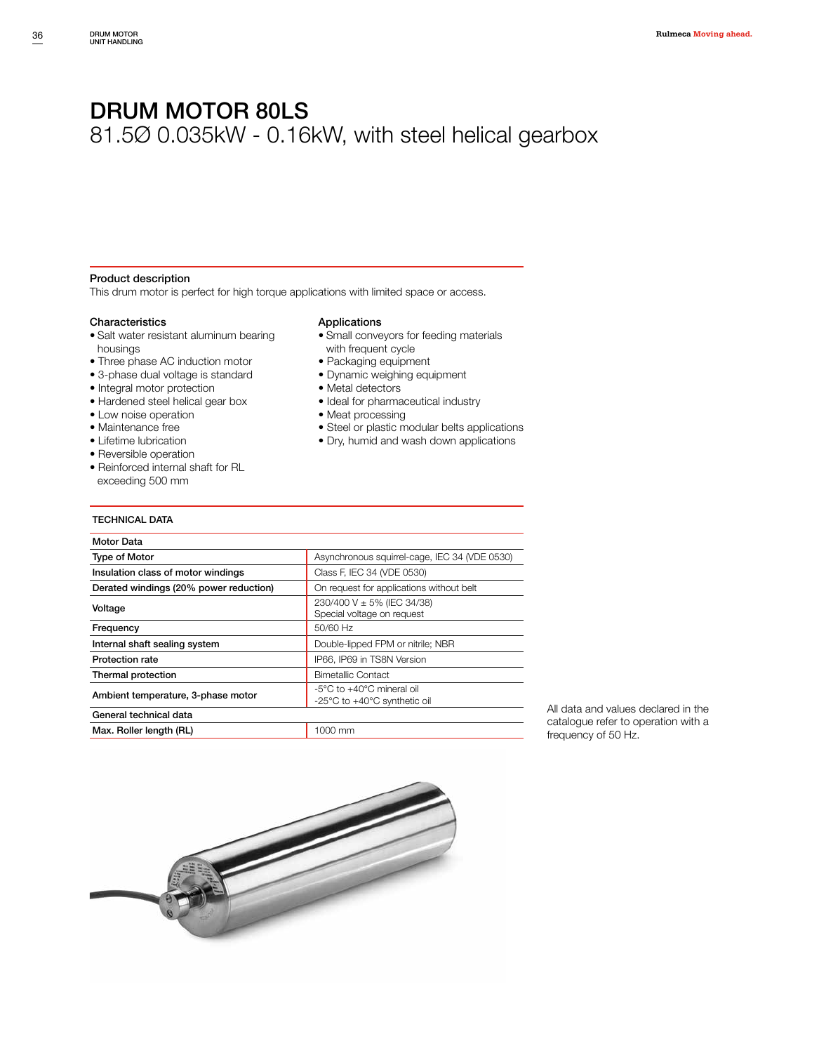#### Product description

This drum motor is perfect for high torque applications with limited space or access.

#### Characteristics

- Salt water resistant aluminum bearing housings
- Three phase AC induction motor
- 3-phase dual voltage is standard
- Integral motor protection
- Hardened steel helical gear box
- Low noise operation
- Maintenance free
- Lifetime lubrication
- Reversible operation
- Reinforced internal shaft for RL exceeding 500 mm

#### Applications

- Small conveyors for feeding materials with frequent cycle
- Packaging equipment
- Dynamic weighing equipment
- Metal detectors
- Ideal for pharmaceutical industry
- Meat processing
- Steel or plastic modular belts applications
- Dry, humid and wash down applications

### TECHNICAL DATA

| <b>Motor Data</b>                      |                                                           |
|----------------------------------------|-----------------------------------------------------------|
| <b>Type of Motor</b>                   | Asynchronous squirrel-cage, IEC 34 (VDE 0530)             |
| Insulation class of motor windings     | Class F, IEC 34 (VDE 0530)                                |
| Derated windings (20% power reduction) | On request for applications without belt                  |
| Voltage                                | 230/400 V ± 5% (IEC 34/38)<br>Special voltage on request  |
| Frequency                              | 50/60 Hz                                                  |
| Internal shaft sealing system          | Double-lipped FPM or nitrile; NBR                         |
| <b>Protection rate</b>                 | IP66, IP69 in TS8N Version                                |
| Thermal protection                     | <b>Bimetallic Contact</b>                                 |
| Ambient temperature, 3-phase motor     | -5°C to +40°C mineral oil<br>-25°C to +40°C synthetic oil |
| General technical data                 |                                                           |
| Max. Roller length (RL)                | 1000 mm                                                   |



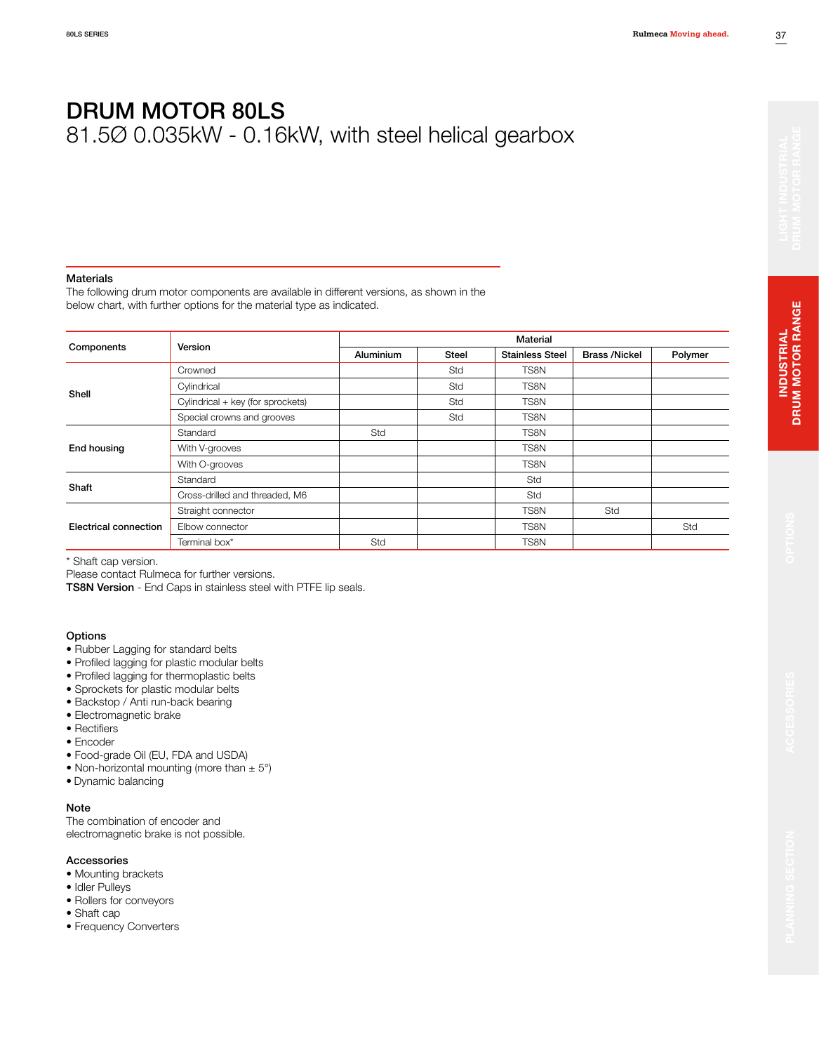#### **Materials**

The following drum motor components are available in different versions, as shown in the below chart, with further options for the material type as indicated.

| Components            | Version                           | Material                  |     |                        |                      |         |  |  |  |  |  |
|-----------------------|-----------------------------------|---------------------------|-----|------------------------|----------------------|---------|--|--|--|--|--|
|                       |                                   | <b>Steel</b><br>Aluminium |     | <b>Stainless Steel</b> | <b>Brass /Nickel</b> | Polymer |  |  |  |  |  |
|                       | Crowned                           |                           | Std | TS8N                   |                      |         |  |  |  |  |  |
| Shell                 | Cylindrical                       |                           | Std | TS8N                   |                      |         |  |  |  |  |  |
|                       | Cylindrical + key (for sprockets) |                           | Std | TS8N                   |                      |         |  |  |  |  |  |
|                       | Special crowns and grooves        |                           | Std | TS8N                   |                      |         |  |  |  |  |  |
| End housing           | Standard                          | Std                       |     | TS8N                   |                      |         |  |  |  |  |  |
|                       | With V-grooves                    |                           |     | TS8N                   |                      |         |  |  |  |  |  |
|                       | With O-grooves                    |                           |     | TS8N                   |                      |         |  |  |  |  |  |
| Shaft                 | Standard                          |                           |     | Std                    |                      |         |  |  |  |  |  |
|                       | Cross-drilled and threaded, M6    |                           |     | Std                    |                      |         |  |  |  |  |  |
| Electrical connection | Straight connector                |                           |     | TS8N                   | Std                  |         |  |  |  |  |  |
|                       | Elbow connector                   |                           |     | TS8N                   |                      | Std     |  |  |  |  |  |
|                       | Terminal box*                     | Std                       |     | TS8N                   |                      |         |  |  |  |  |  |

\* Shaft cap version.

Please contact Rulmeca for further versions.

TS8N Version - End Caps in stainless steel with PTFE lip seals.

### Options

- Rubber Lagging for standard belts
- Profiled lagging for plastic modular belts
- Profiled lagging for thermoplastic belts
- Sprockets for plastic modular belts
- Backstop / Anti run-back bearing
- Electromagnetic brake
- Rectifiers
- Encoder
- Food-grade Oil (EU, FDA and USDA)
- Non-horizontal mounting (more than  $\pm$  5°)
- Dynamic balancing

### Note

The combination of encoder and electromagnetic brake is not possible.

### Accessories

- Mounting brackets
- Idler Pulleys
- Rollers for conveyors
- Shaft cap
- Frequency Converters

**INDUSTRIAL DRUM MOTOR RANGE**

**INDUSTRIAL<br>DRUM MOTOR RANGE**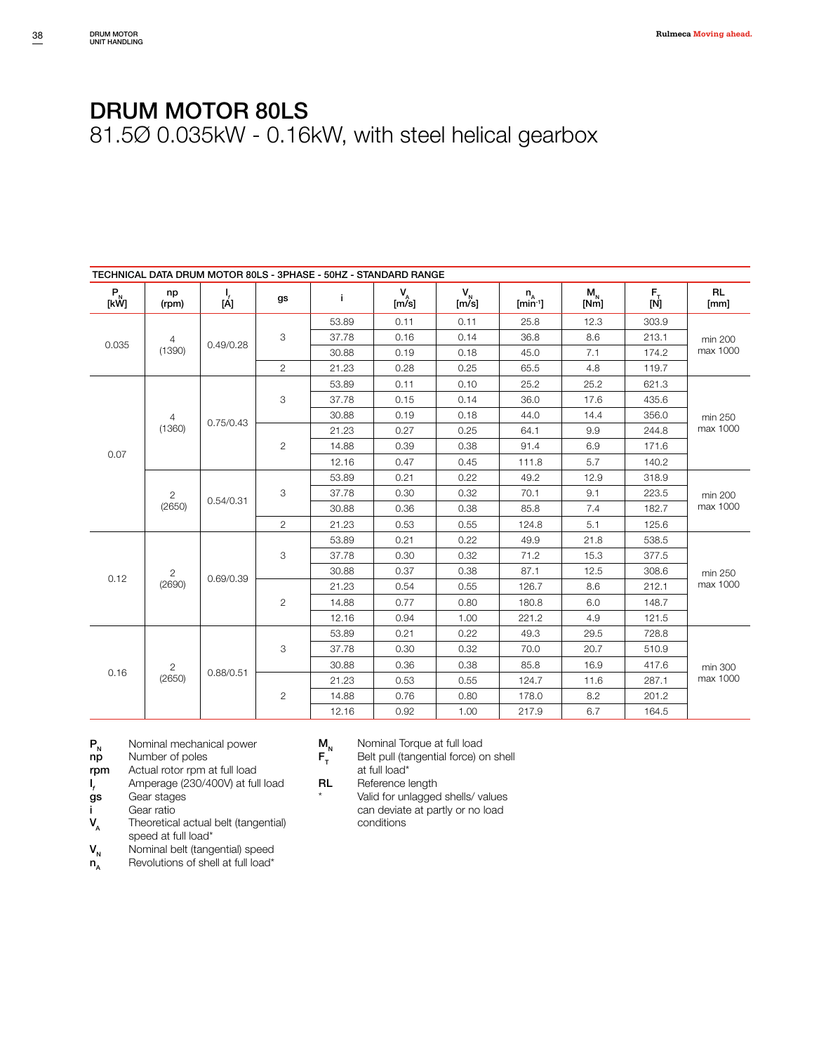| TECHNICAL DATA DRUM MOTOR 80LS - 3PHASE - 50HZ - STANDARD RANGE         |                |              |                |       |                         |               |                            |                                    |                   |                   |
|-------------------------------------------------------------------------|----------------|--------------|----------------|-------|-------------------------|---------------|----------------------------|------------------------------------|-------------------|-------------------|
| $\begin{bmatrix} \mathsf{P}_{\mathsf{N}} \ \mathsf{[kW]} \end{bmatrix}$ | np<br>(rpm)    | ا<br>[A]     | gs             | j.    | $V_{\hat{m}}^{\dagger}$ | $V_{N}$ [m/s] | $n_A$ [min <sup>-1</sup> ] | $M_{\scriptscriptstyle N}$<br>[Nm] | $F_{\tau}$<br>[N] | <b>RL</b><br>[mm] |
|                                                                         |                |              |                | 53.89 | 0.11                    | 0.11          | 25.8                       | 12.3                               | 303.9             |                   |
|                                                                         | $\overline{4}$ |              | 3              | 37.78 | 0.16                    | 0.14          | 36.8                       | 8.6                                | 213.1             | min 200           |
| 0.035                                                                   | (1390)         | 0.49/0.28    |                | 30.88 | 0.19                    | 0.18          | 45.0                       | 7.1                                | 174.2             | max 1000          |
|                                                                         |                |              | $\overline{2}$ | 21.23 | 0.28                    | 0.25          | 65.5                       | 4.8                                | 119.7             |                   |
|                                                                         |                |              |                | 53.89 | 0.11                    | 0.10          | 25.2                       | 25.2                               | 621.3             |                   |
|                                                                         |                |              | 3              | 37.78 | 0.15                    | 0.14          | 36.0                       | 17.6                               | 435.6             |                   |
|                                                                         | $\overline{4}$ | 0.75/0.43    |                | 30.88 | 0.19                    | 0.18          | 44.0                       | 14.4                               | 356.0             | min 250           |
|                                                                         | (1360)         |              |                | 21.23 | 0.27                    | 0.25          | 64.1                       | 9.9                                | 244.8             | max 1000          |
|                                                                         |                | $\mathbf{2}$ | 14.88          | 0.39  | 0.38                    | 91.4          | 6.9                        | 171.6                              |                   |                   |
| 0.07                                                                    |                |              |                | 12.16 | 0.47                    | 0.45          | 111.8                      | 5.7                                | 140.2             |                   |
|                                                                         |                | 0.54/0.31    |                | 53.89 | 0.21                    | 0.22          | 49.2                       | 12.9                               | 318.9             |                   |
| $\mathbf{2}$<br>(2650)                                                  |                |              | 3              | 37.78 | 0.30                    | 0.32          | 70.1                       | 9.1                                | 223.5             | min 200           |
|                                                                         |                |              | 30.88          | 0.36  | 0.38                    | 85.8          | 7.4                        | 182.7                              | max 1000          |                   |
|                                                                         |                |              | $\overline{2}$ | 21.23 | 0.53                    | 0.55          | 124.8                      | 5.1                                | 125.6             |                   |
|                                                                         |                |              |                | 53.89 | 0.21                    | 0.22          | 49.9                       | 21.8                               | 538.5             |                   |
|                                                                         |                |              | 3              | 37.78 | 0.30                    | 0.32          | 71.2                       | 15.3                               | 377.5             |                   |
| 0.12                                                                    | $\overline{2}$ | 0.69/0.39    |                | 30.88 | 0.37                    | 0.38          | 87.1                       | 12.5                               | 308.6             | min 250           |
|                                                                         | (2690)         |              |                | 21.23 | 0.54                    | 0.55          | 126.7                      | 8.6                                | 212.1             | max 1000          |
|                                                                         |                |              | $\mathbf{2}$   | 14.88 | 0.77                    | 0.80          | 180.8                      | 6.0                                | 148.7             |                   |
|                                                                         |                |              |                | 12.16 | 0.94                    | 1.00          | 221.2                      | 4.9                                | 121.5             |                   |
| $\overline{c}$<br>0.16<br>(2650)                                        |                |              | 53.89          | 0.21  | 0.22                    | 49.3          | 29.5                       | 728.8                              |                   |                   |
|                                                                         |                |              | 3              | 37.78 | 0.30                    | 0.32          | 70.0                       | 20.7                               | 510.9             |                   |
|                                                                         |                |              |                | 30.88 | 0.36                    | 0.38          | 85.8                       | 16.9                               | 417.6             | min 300           |
|                                                                         |                | 0.88/0.51    |                | 21.23 | 0.53                    | 0.55          | 124.7                      | 11.6                               | 287.1             | max 1000          |
|                                                                         |                |              | $\overline{c}$ | 14.88 | 0.76                    | 0.80          | 178.0                      | 8.2                                | 201.2             |                   |
|                                                                         |                |              | 12.16          | 0.92  | 1.00                    | 217.9         | 6.7                        | 164.5                              |                   |                   |

- $P_N$  Nominal mechanical power<br> **np** Number of poles
- Number of poles
- rpm Actual rotor rpm at full load

 $I_{\epsilon}$  $f_r$  Amperage (230/400V) at full load  $gs$  Gear stages

- Gear stages
- i Gear ratio
- $V_A$  Theoretical actual belt (tangential) speed at full load\*
- $V_{N}$  Nominal belt (tangential) speed<br> $n_A$  Revolutions of shell at full load\*
- Revolutions of shell at full load\*
- 
- $M_N$  Nominal Torque at full load<br> $F_T$  Belt pull (tangential force) o Belt pull (tangential force) on shell at full load\*
- 
- RL Reference length \* Valid for unlagged shells/ values can deviate at partly or no load conditions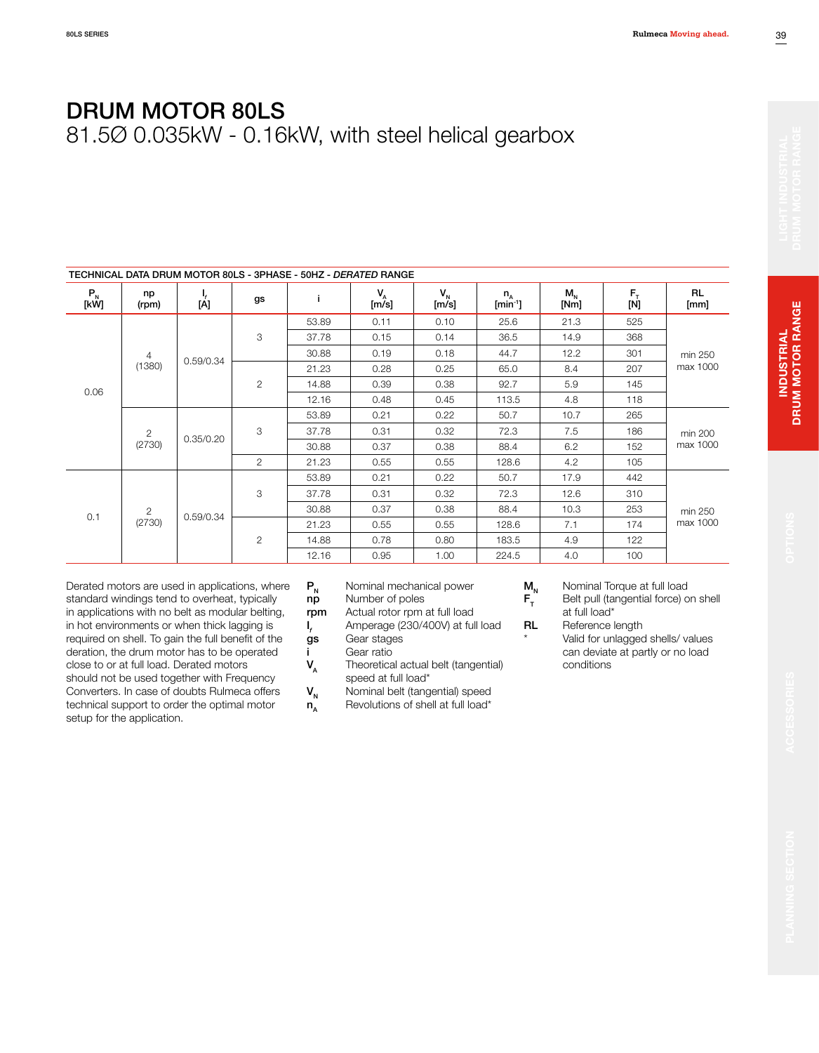## DRUM MOTOR 80LS

81.5Ø 0.035kW - 0.16kW, with steel helical gearbox

| TECHNICAL DATA DRUM MOTOR 80LS - 3PHASE - 50HZ - DERATED RANGE |             |              |                |       |               |             |                            |               |                    |                     |       |     |
|----------------------------------------------------------------|-------------|--------------|----------------|-------|---------------|-------------|----------------------------|---------------|--------------------|---------------------|-------|-----|
| $P_N$ [kŴ]                                                     | np<br>(rpm) | ъ,<br>[A]    | gs             | j.    | $V_{A}$ [m/s] | $V_N$ [m/s] | $n_A$ [min <sup>-1</sup> ] | $M_N$<br>[Nm] | $F_{\rm T}$<br>[N] | <b>RL</b><br>[mm]   |       |     |
|                                                                |             |              | 53.89          | 0.11  | 0.10          | 25.6        | 21.3                       | 525           |                    |                     |       |     |
|                                                                |             |              | 3              | 37.78 | 0.15          | 0.14        | 36.5                       | 14.9          | 368                | min 250<br>max 1000 |       |     |
|                                                                | 4           | 0.59/0.34    |                | 30.88 | 0.19          | 0.18        | 44.7                       | 12.2          | 301                |                     |       |     |
| (1380)<br>0.06<br>2<br>(2730)                                  |             |              |                | 21.23 | 0.28          | 0.25        | 65.0                       | 8.4           | 207                |                     |       |     |
|                                                                |             | $\mathbf{2}$ | 14.88          | 0.39  | 0.38          | 92.7        | 5.9                        | 145           |                    |                     |       |     |
|                                                                |             |              |                | 12.16 | 0.48          | 0.45        | 113.5                      | 4.8           | 118                |                     |       |     |
|                                                                |             |              |                | 53.89 | 0.21          | 0.22        | 50.7                       | 10.7          | 265                |                     |       |     |
|                                                                |             | 0.35/0.20    | 3              | 37.78 | 0.31          | 0.32        | 72.3                       | 7.5           | 186                | min 200<br>max 1000 |       |     |
|                                                                |             |              |                | 30.88 | 0.37          | 0.38        | 88.4                       | 6.2           | 152                |                     |       |     |
|                                                                |             |              |                |       |               |             | 2                          | 21.23         | 0.55               | 0.55                | 128.6 | 4.2 |
|                                                                |             |              |                | 53.89 | 0.21          | 0.22        | 50.7                       | 17.9          | 442                |                     |       |     |
| $\overline{2}$<br>0.1<br>(2730)                                |             |              | 3              | 37.78 | 0.31          | 0.32        | 72.3                       | 12.6          | 310                |                     |       |     |
|                                                                |             | 0.59/0.34    |                | 30.88 | 0.37          | 0.38        | 88.4                       | 10.3          | 253                | min 250             |       |     |
|                                                                |             |              |                | 21.23 | 0.55          | 0.55        | 128.6                      | 7.1           | 174                | max 1000            |       |     |
|                                                                |             |              | $\overline{c}$ | 14.88 | 0.78          | 0.80        | 183.5                      | 4.9           | 122                |                     |       |     |
|                                                                |             |              |                |       | 12.16         | 0.95        | 1.00                       | 224.5         | 4.0                | 100                 |       |     |

Derated motors are used in applications, where standard windings tend to overheat, typically in applications with no belt as modular belting, in hot environments or when thick lagging is required on shell. To gain the full benefit of the deration, the drum motor has to be operated close to or at full load. Derated motors should not be used together with Frequency Converters. In case of doubts Rulmeca offers technical support to order the optimal motor setup for the application.

- $P_N$  Nominal mechanical power<br> **np** Number of poles
- **np** Number of poles<br>**rpm** Actual rotor rpm
	- Actual rotor rpm at full load
- $I_f$ **i**, Amperage (230/400V) at full load **gs** Gear stages Gear stages
- i Gear ratio
- $V_A$  Theoretical actual belt (tangential) speed at full load\*
	-
- $V_{N}$  Nominal belt (tangential) speed<br> **n**, Revolutions of shell at full load\* Revolutions of shell at full load\*
- 
- $M_N$  Nominal Torque at full load<br> $F_T$  Belt pull (tangential force) c Belt pull (tangential force) on shell at full load\* RL Reference length
	- Valid for unlagged shells/ values can deviate at partly or no load conditions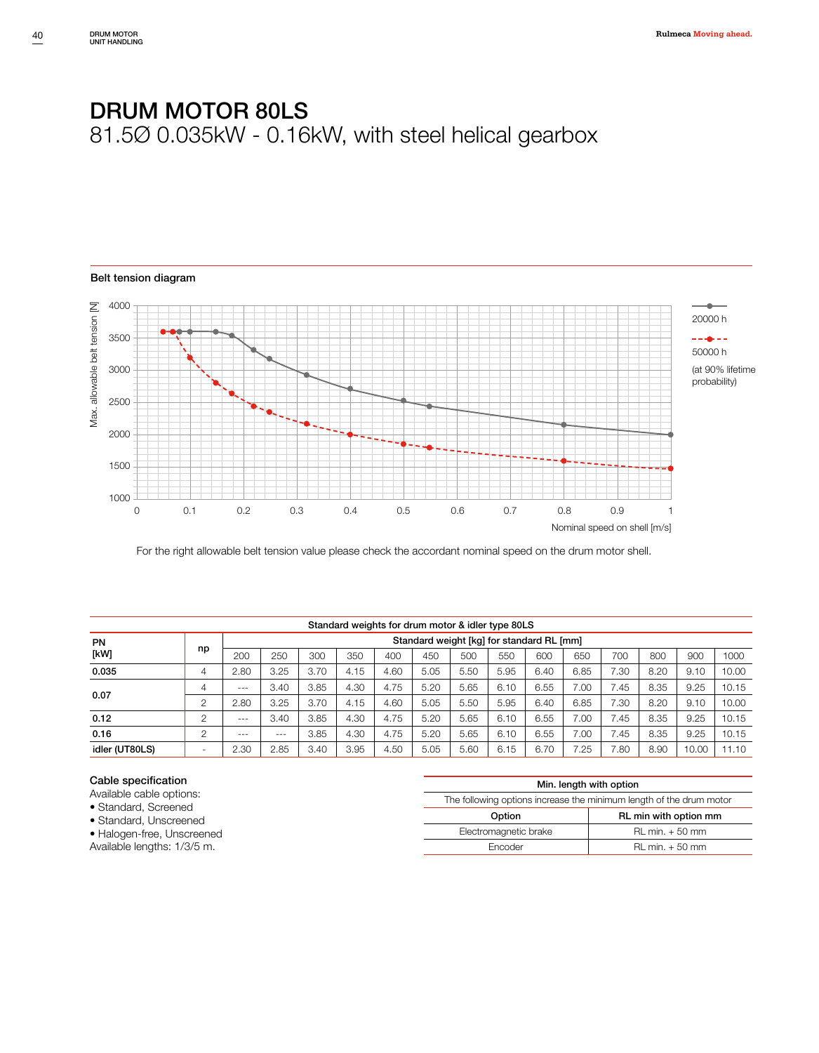



For the right allowable belt tension value please check the accordant nominal speed on the drum motor shell.

| Standard weights for drum motor & idler type 80LS |                          |                                           |         |      |      |      |      |      |      |      |      |      |      |       |       |
|---------------------------------------------------|--------------------------|-------------------------------------------|---------|------|------|------|------|------|------|------|------|------|------|-------|-------|
| <b>PN</b>                                         |                          | Standard weight [kg] for standard RL [mm] |         |      |      |      |      |      |      |      |      |      |      |       |       |
| [kW]                                              | np                       | 200                                       | 250     | 300  | 350  | 400  | 450  | 500  | 550  | 600  | 650  | 700  | 800  | 900   | 1000  |
| 0.035                                             | 4                        | 2.80                                      | 3.25    | 3.70 | 4.15 | 4.60 | 5.05 | 5.50 | 5.95 | 6.40 | 6.85 | 7.30 | 8.20 | 9.10  | 10.00 |
|                                                   | $\overline{4}$           | $- - -$                                   | 3.40    | 3.85 | 4.30 | 4.75 | 5.20 | 5.65 | 6.10 | 6.55 | 7.00 | 7.45 | 8.35 | 9.25  | 10.15 |
| 0.07                                              | $\mathfrak{p}$           | 2.80                                      | 3.25    | 3.70 | 4.15 | 4.60 | 5.05 | 5.50 | 5.95 | 6.40 | 6.85 | 7.30 | 8.20 | 9.10  | 10.00 |
| 0.12                                              | $\mathcal{P}$            | $- - -$                                   | 3.40    | 3.85 | 4.30 | 4.75 | 5.20 | 5.65 | 6.10 | 6.55 | 7.00 | 7.45 | 8.35 | 9.25  | 10.15 |
| 0.16                                              | 2                        | $- - -$                                   | $- - -$ | 3.85 | 4.30 | 4.75 | 5.20 | 5.65 | 6.10 | 6.55 | 7.00 | 7.45 | 8.35 | 9.25  | 10.15 |
| idler (UT80LS)                                    | $\overline{\phantom{a}}$ | 2.30                                      | 2.85    | 3.40 | 3.95 | 4.50 | 5.05 | 5.60 | 6.15 | 6.70 | 7.25 | 7.80 | 8.90 | 10.00 | 11.10 |

### Cable specification

Available cable options:

- Standard, Screened
- Standard, Unscreened
- Halogen-free, Unscreened
- Available lengths: 1/3/5 m.

| Min. length with option                                             |                       |  |  |  |  |  |  |
|---------------------------------------------------------------------|-----------------------|--|--|--|--|--|--|
| The following options increase the minimum length of the drum motor |                       |  |  |  |  |  |  |
| Option                                                              | RL min with option mm |  |  |  |  |  |  |
| Electromagnetic brake                                               | $RL min. + 50 mm$     |  |  |  |  |  |  |
| Encoder                                                             | $RL min. + 50 mm$     |  |  |  |  |  |  |
|                                                                     |                       |  |  |  |  |  |  |